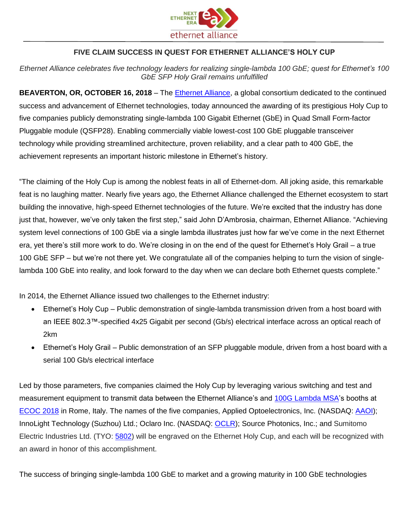

## **FIVE CLAIM SUCCESS IN QUEST FOR ETHERNET ALLIANCE'S HOLY CUP**

*Ethernet Alliance celebrates five technology leaders for realizing single-lambda 100 GbE; quest for Ethernet's 100 GbE SFP Holy Grail remains unfulfilled*

**BEAVERTON, OR, OCTOBER 16, 2018** – The [Ethernet Alliance,](http://bit.ly/EAHolyCup) a global consortium dedicated to the continued success and advancement of Ethernet technologies, today announced the awarding of its prestigious Holy Cup to five companies publicly demonstrating single-lambda 100 Gigabit Ethernet (GbE) in Quad Small Form-factor Pluggable module (QSFP28). Enabling commercially viable lowest-cost 100 GbE pluggable transceiver technology while providing streamlined architecture, proven reliability, and a clear path to 400 GbE, the achievement represents an important historic milestone in Ethernet's history.

"The claiming of the Holy Cup is among the noblest feats in all of Ethernet-dom. All joking aside, this remarkable feat is no laughing matter. Nearly five years ago, the Ethernet Alliance challenged the Ethernet ecosystem to start building the innovative, high-speed Ethernet technologies of the future. We're excited that the industry has done just that, however, we've only taken the first step," said John D'Ambrosia, chairman, Ethernet Alliance. "Achieving system level connections of 100 GbE via a single lambda illustrates just how far we've come in the next Ethernet era, yet there's still more work to do. We're closing in on the end of the quest for Ethernet's Holy Grail – a true 100 GbE SFP – but we're not there yet. We congratulate all of the companies helping to turn the vision of singlelambda 100 GbE into reality, and look forward to the day when we can declare both Ethernet quests complete."

In 2014, the Ethernet Alliance issued two challenges to the Ethernet industry:

- Ethernet's Holy Cup Public demonstration of single-lambda transmission driven from a host board with an IEEE 802.3™-specified 4x25 Gigabit per second (Gb/s) electrical interface across an optical reach of 2km
- Ethernet's Holy Grail Public demonstration of an SFP pluggable module, driven from a host board with a serial 100 Gb/s electrical interface

Led by those parameters, five companies claimed the Holy Cup by leveraging various switching and test and measurement equipment to transmit data between the Ethernet Alliance's and [100G Lambda MSA'](http://100glambda.com/)s booths at [ECOC 2018](https://www.ecoc2018.org/) in Rome, Italy. The names of the five companies, Applied Optoelectronics, Inc. (NASDAQ: [AAOI\)](https://www.nasdaq.com/symbol/aaoi); InnoLight Technology (Suzhou) Ltd.; Oclaro Inc. (NASDAQ: [OCLR\)](https://www.nasdaq.com/symbol/oclr); Source Photonics, Inc.; and Sumitomo Electric Industries Ltd. (TYO: [5802\)](https://quote.jpx.co.jp/jpx/template/quote.cgi?F=tmp/e_stock_detail&MKTN=T&QCODE=5802) will be engraved on the Ethernet Holy Cup, and each will be recognized with an award in honor of this accomplishment.

The success of bringing single-lambda 100 GbE to market and a growing maturity in 100 GbE technologies